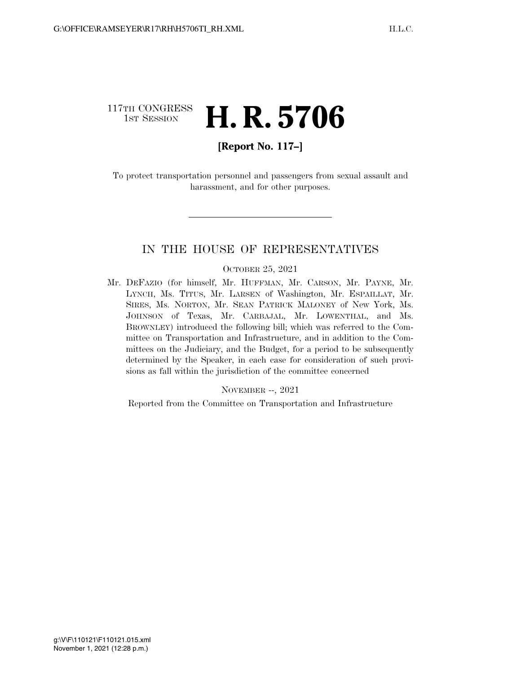### 117TH CONGRESS **1ST SESSION H. R. 5706**

### **[Report No. 117–]**

To protect transportation personnel and passengers from sexual assault and harassment, and for other purposes.

### IN THE HOUSE OF REPRESENTATIVES

#### OCTOBER 25, 2021

Mr. DEFAZIO (for himself, Mr. HUFFMAN, Mr. CARSON, Mr. PAYNE, Mr. LYNCH, Ms. TITUS, Mr. LARSEN of Washington, Mr. ESPAILLAT, Mr. SIRES, Ms. NORTON, Mr. SEAN PATRICK MALONEY of New York, Ms. JOHNSON of Texas, Mr. CARBAJAL, Mr. LOWENTHAL, and Ms. BROWNLEY) introduced the following bill; which was referred to the Committee on Transportation and Infrastructure, and in addition to the Committees on the Judiciary, and the Budget, for a period to be subsequently determined by the Speaker, in each case for consideration of such provisions as fall within the jurisdiction of the committee concerned

#### NOVEMBER --, 2021

Reported from the Committee on Transportation and Infrastructure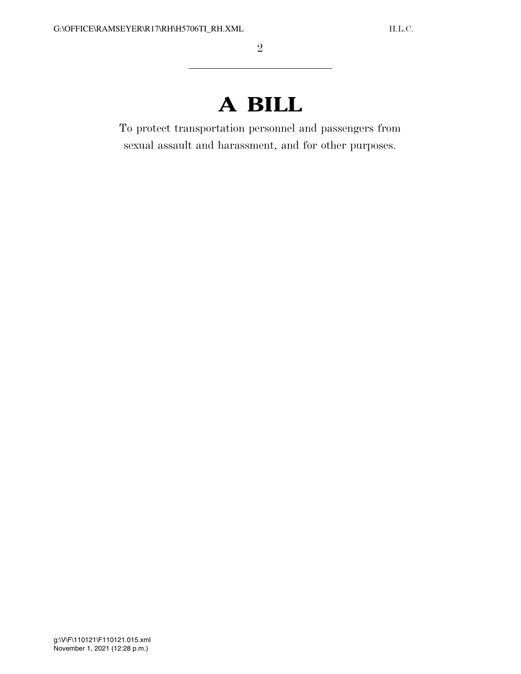# **A BILL**

To protect transportation personnel and passengers from sexual assault and harassment, and for other purposes.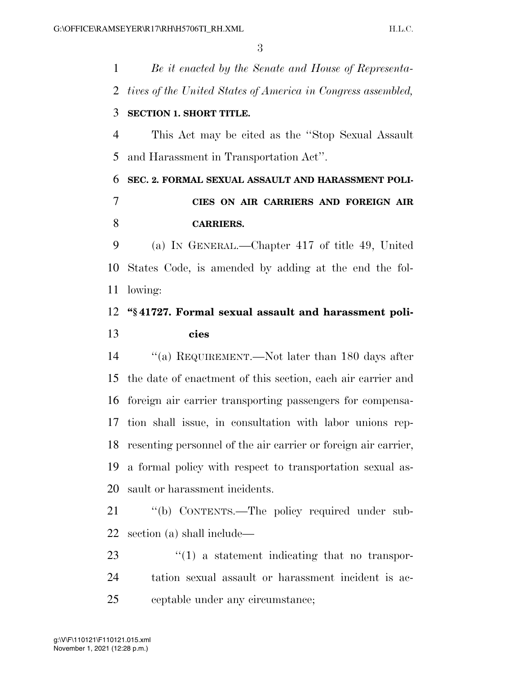*Be it enacted by the Senate and House of Representa- tives of the United States of America in Congress assembled,*  **SECTION 1. SHORT TITLE.**  This Act may be cited as the ''Stop Sexual Assault and Harassment in Transportation Act''. **SEC. 2. FORMAL SEXUAL ASSAULT AND HARASSMENT POLI- CIES ON AIR CARRIERS AND FOREIGN AIR CARRIERS.**  (a) IN GENERAL.—Chapter 417 of title 49, United States Code, is amended by adding at the end the fol- lowing: **''§ 41727. Formal sexual assault and harassment poli- cies**  ''(a) REQUIREMENT.—Not later than 180 days after the date of enactment of this section, each air carrier and foreign air carrier transporting passengers for compensa- tion shall issue, in consultation with labor unions rep- resenting personnel of the air carrier or foreign air carrier, a formal policy with respect to transportation sexual as-

sault or harassment incidents.

 ''(b) CONTENTS.—The policy required under sub-section (a) shall include—

23  $\frac{1}{2}$  (1) a statement indicating that no transpor- tation sexual assault or harassment incident is ac-ceptable under any circumstance;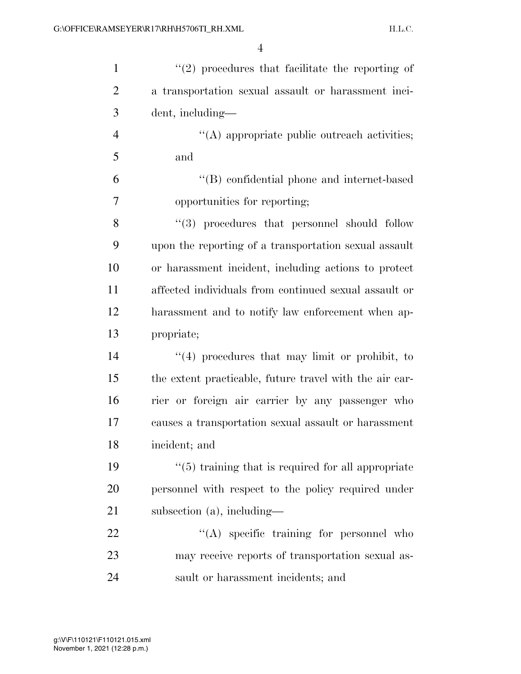| $\mathbf{1}$   | $\lq(2)$ procedures that facilitate the reporting of    |
|----------------|---------------------------------------------------------|
| 2              | a transportation sexual assault or harassment inci-     |
| 3              | dent, including—                                        |
| $\overline{4}$ | $\lq\lq$ appropriate public outreach activities;        |
| 5              | and                                                     |
| 6              | "(B) confidential phone and internet-based              |
| $\overline{7}$ | opportunities for reporting;                            |
| 8              | "(3) procedures that personnel should follow            |
| 9              | upon the reporting of a transportation sexual assault   |
| 10             | or harassment incident, including actions to protect    |
| 11             | affected individuals from continued sexual assault or   |
| 12             | harassment and to notify law enforcement when ap-       |
| 13             | propriate;                                              |
| 14             | $"(4)$ procedures that may limit or prohibit, to        |
| 15             | the extent practicable, future travel with the air car- |
| 16             | rier or foreign air carrier by any passenger who        |
| 17             | causes a transportation sexual assault or harassment    |
| 18             | incident; and                                           |
| 19             | $\lq(5)$ training that is required for all appropriate  |
| 20             | personnel with respect to the policy required under     |
| 21             | subsection $(a)$ , including—                           |
| 22             | "(A) specific training for personnel who                |
| 23             | may receive reports of transportation sexual as-        |
| 24             | sault or harassment incidents; and                      |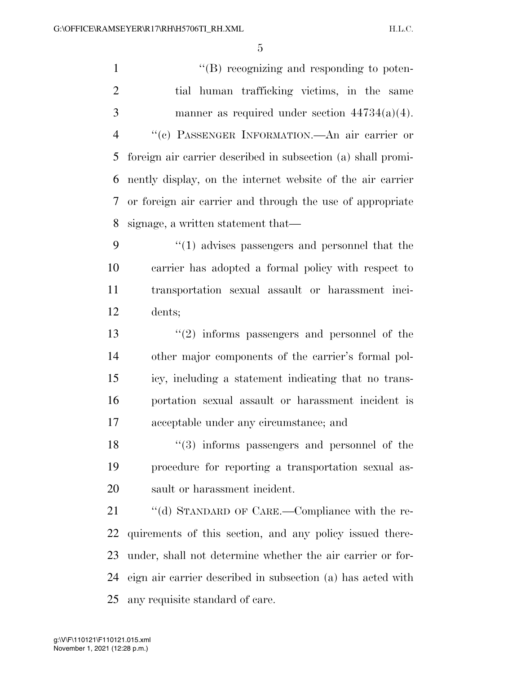$\langle$  (B) recognizing and responding to poten- tial human trafficking victims, in the same manner as required under section 44734(a)(4). ''(c) PASSENGER INFORMATION.—An air carrier or foreign air carrier described in subsection (a) shall promi- nently display, on the internet website of the air carrier or foreign air carrier and through the use of appropriate signage, a written statement that— ''(1) advises passengers and personnel that the carrier has adopted a formal policy with respect to transportation sexual assault or harassment inci- dents; ''(2) informs passengers and personnel of the other major components of the carrier's formal pol- icy, including a statement indicating that no trans- portation sexual assault or harassment incident is acceptable under any circumstance; and 18 ''(3) informs passengers and personnel of the procedure for reporting a transportation sexual as- sault or harassment incident. 21 "(d) STANDARD OF CARE.—Compliance with the re- quirements of this section, and any policy issued there- under, shall not determine whether the air carrier or for-eign air carrier described in subsection (a) has acted with

any requisite standard of care.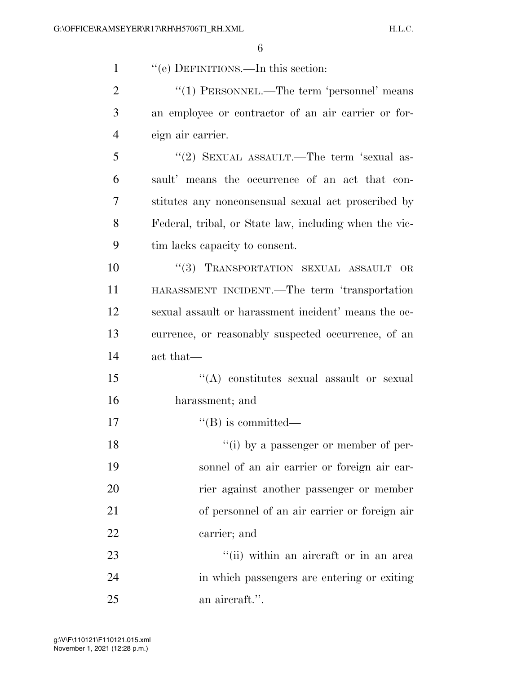| $\mathbf{1}$   | "(e) DEFINITIONS.—In this section:                     |
|----------------|--------------------------------------------------------|
| $\overline{2}$ | " $(1)$ PERSONNEL.—The term 'personnel' means          |
| 3              | an employee or contractor of an air carrier or for-    |
| $\overline{4}$ | eign air carrier.                                      |
| 5              | "(2) SEXUAL ASSAULT.—The term 'sexual as-              |
| 6              | sault' means the occurrence of an act that con-        |
| 7              | stitutes any nonconsensual sexual act proscribed by    |
| 8              | Federal, tribal, or State law, including when the vic- |
| 9              | tim lacks capacity to consent.                         |
| 10             | "(3) TRANSPORTATION SEXUAL ASSAULT<br><b>OR</b>        |
| 11             | HARASSMENT INCIDENT.—The term 'transportation          |
| 12             | sexual assault or harassment incident' means the oc-   |
| 13             | currence, or reasonably suspected occurrence, of an    |
| 14             | act that—                                              |
| 15             | "(A) constitutes sexual assault or sexual              |
| 16             | harassment; and                                        |
| 17             | $\lq\lq (B)$ is committed—                             |
| 18             | "(i) by a passenger or member of per-                  |
| 19             | sonnel of an air carrier or foreign air car-           |
| 20             | rier against another passenger or member               |
| 21             | of personnel of an air carrier or foreign air          |
| 22             | carrier; and                                           |
| 23             | "(ii) within an aircraft or in an area                 |
| 24             | in which passengers are entering or exiting            |
| 25             | an aircraft.".                                         |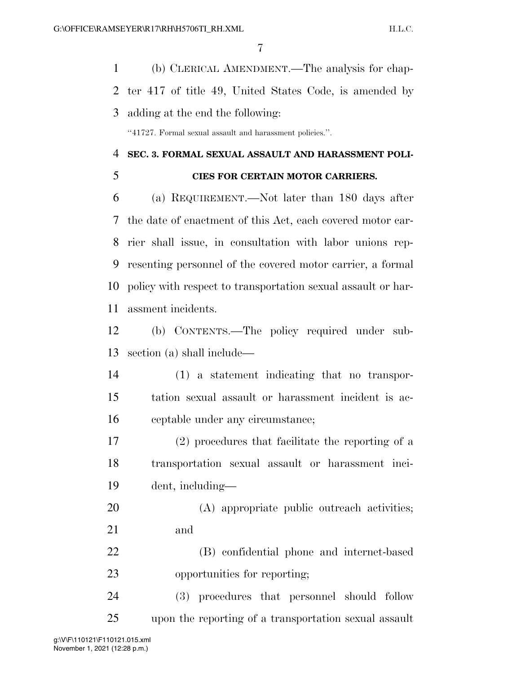(b) CLERICAL AMENDMENT.—The analysis for chap- ter 417 of title 49, United States Code, is amended by adding at the end the following:

''41727. Formal sexual assault and harassment policies.''.

### **SEC. 3. FORMAL SEXUAL ASSAULT AND HARASSMENT POLI-CIES FOR CERTAIN MOTOR CARRIERS.**

 (a) REQUIREMENT.—Not later than 180 days after the date of enactment of this Act, each covered motor car- rier shall issue, in consultation with labor unions rep- resenting personnel of the covered motor carrier, a formal policy with respect to transportation sexual assault or har-assment incidents.

 (b) CONTENTS.—The policy required under sub-section (a) shall include—

 (1) a statement indicating that no transpor- tation sexual assault or harassment incident is ac-ceptable under any circumstance;

 (2) procedures that facilitate the reporting of a transportation sexual assault or harassment inci-dent, including—

 (A) appropriate public outreach activities; and

 (B) confidential phone and internet-based opportunities for reporting;

 (3) procedures that personnel should follow upon the reporting of a transportation sexual assault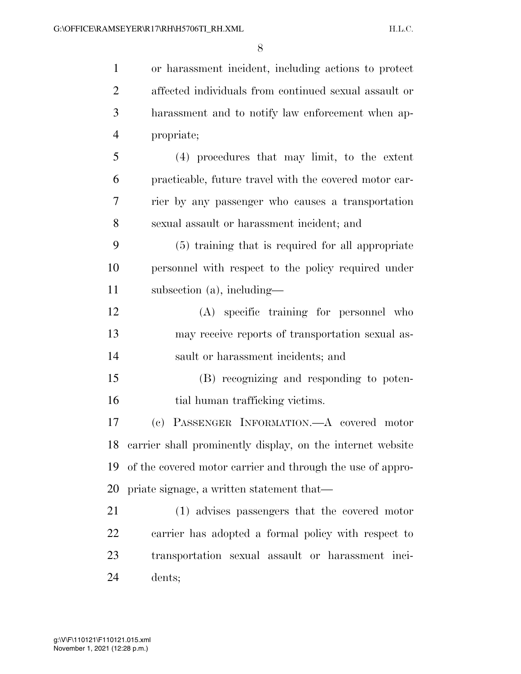or harassment incident, including actions to protect affected individuals from continued sexual assault or harassment and to notify law enforcement when ap- propriate; (4) procedures that may limit, to the extent practicable, future travel with the covered motor car- rier by any passenger who causes a transportation sexual assault or harassment incident; and (5) training that is required for all appropriate personnel with respect to the policy required under subsection (a), including— (A) specific training for personnel who may receive reports of transportation sexual as- sault or harassment incidents; and (B) recognizing and responding to poten-16 tial human trafficking victims. (c) PASSENGER INFORMATION.—A covered motor carrier shall prominently display, on the internet website of the covered motor carrier and through the use of appro- priate signage, a written statement that— (1) advises passengers that the covered motor carrier has adopted a formal policy with respect to transportation sexual assault or harassment inci-dents;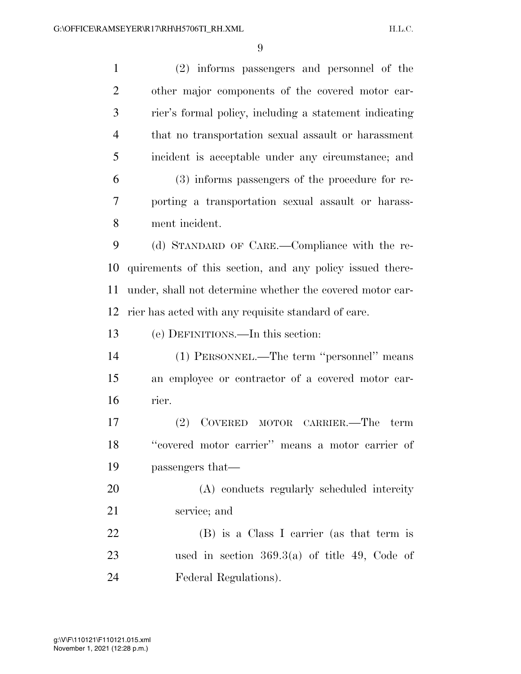(2) informs passengers and personnel of the other major components of the covered motor car- rier's formal policy, including a statement indicating that no transportation sexual assault or harassment incident is acceptable under any circumstance; and (3) informs passengers of the procedure for re- porting a transportation sexual assault or harass- ment incident. (d) STANDARD OF CARE.—Compliance with the re- quirements of this section, and any policy issued there- under, shall not determine whether the covered motor car- rier has acted with any requisite standard of care. (e) DEFINITIONS.—In this section: (1) PERSONNEL.—The term ''personnel'' means an employee or contractor of a covered motor car- rier. (2) COVERED MOTOR CARRIER.—The term ''covered motor carrier'' means a motor carrier of passengers that— (A) conducts regularly scheduled intercity service; and (B) is a Class I carrier (as that term is used in section 369.3(a) of title 49, Code of Federal Regulations).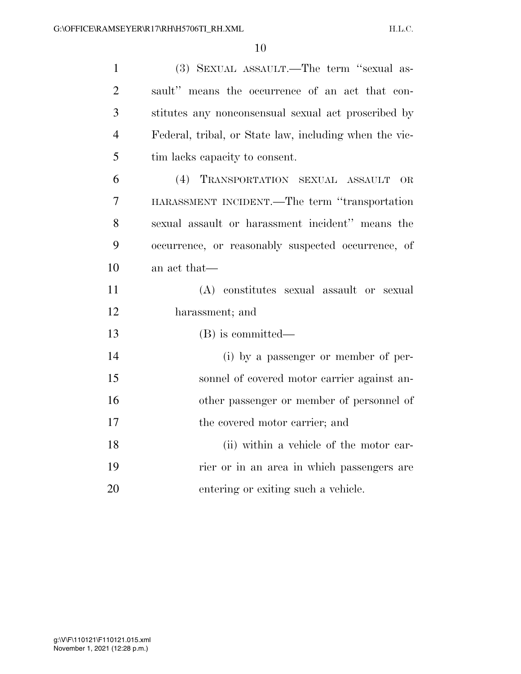| $\mathbf{1}$   | (3) SEXUAL ASSAULT.—The term "sexual as-               |
|----------------|--------------------------------------------------------|
| $\overline{2}$ | sault" means the occurrence of an act that con-        |
| 3              | stitutes any nonconsensual sexual act proscribed by    |
| $\overline{4}$ | Federal, tribal, or State law, including when the vic- |
| 5              | tim lacks capacity to consent.                         |
| 6              | (4) TRANSPORTATION SEXUAL ASSAULT<br>OR                |
| 7              | HARASSMENT INCIDENT.—The term "transportation          |
| 8              | sexual assault or harassment incident" means the       |
| 9              | occurrence, or reasonably suspected occurrence, of     |
| 10             | an act that—                                           |
| 11             | (A) constitutes sexual assault or sexual               |
| 12             | harassment; and                                        |
| 13             | (B) is committed—                                      |
| 14             | (i) by a passenger or member of per-                   |
| 15             | sonnel of covered motor carrier against an-            |
| 16             | other passenger or member of personnel of              |
| 17             | the covered motor carrier; and                         |
| 18             | (ii) within a vehicle of the motor car-                |
| 19             | rier or in an area in which passengers are             |
| 20             | entering or exiting such a vehicle.                    |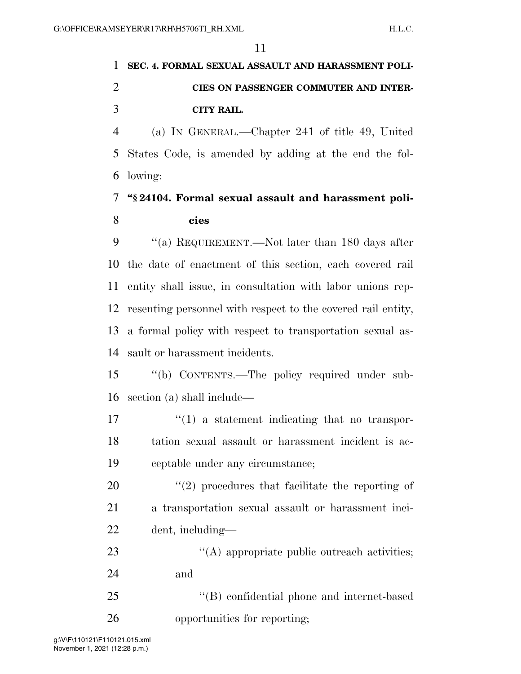## **SEC. 4. FORMAL SEXUAL ASSAULT AND HARASSMENT POLI- CIES ON PASSENGER COMMUTER AND INTER-CITY RAIL.**

 (a) IN GENERAL.—Chapter 241 of title 49, United States Code, is amended by adding at the end the fol-lowing:

### **''§ 24104. Formal sexual assault and harassment poli-cies**

9 "(a) REQUIREMENT.—Not later than 180 days after the date of enactment of this section, each covered rail entity shall issue, in consultation with labor unions rep- resenting personnel with respect to the covered rail entity, a formal policy with respect to transportation sexual as-sault or harassment incidents.

 ''(b) CONTENTS.—The policy required under sub-section (a) shall include—

 $\mathcal{L}(1)$  a statement indicating that no transpor- tation sexual assault or harassment incident is ac-ceptable under any circumstance;

 $(2)$  procedures that facilitate the reporting of a transportation sexual assault or harassment inci-dent, including—

23 ''(A) appropriate public outreach activities; and

 ''(B) confidential phone and internet-based opportunities for reporting;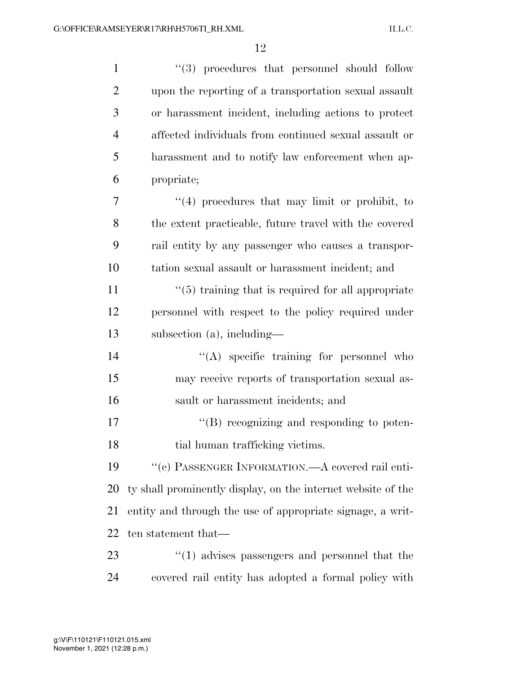| $\mathbf{1}$   | "(3) procedures that personnel should follow                   |
|----------------|----------------------------------------------------------------|
| $\overline{2}$ | upon the reporting of a transportation sexual assault          |
| 3              | or harassment incident, including actions to protect           |
| $\overline{4}$ | affected individuals from continued sexual assault or          |
| 5              | harassment and to notify law enforcement when ap-              |
| 6              | propriate;                                                     |
| 7              | $"(4)$ procedures that may limit or prohibit, to               |
| 8              | the extent practicable, future travel with the covered         |
| 9              | rail entity by any passenger who causes a transpor-            |
| 10             | tation sexual assault or harassment incident; and              |
| 11             | $\cdot\cdot$ (5) training that is required for all appropriate |
| 12             | personnel with respect to the policy required under            |
| 13             | subsection $(a)$ , including—                                  |
| 14             | $\lq\lq$ specific training for personnel who                   |
| 15             | may receive reports of transportation sexual as-               |
| 16             | sault or harassment incidents; and                             |
| 17             | $\lq\lq$ recognizing and responding to poten-                  |
| 18             | tial human trafficking victims.                                |
| 19             | "(c) PASSENGER INFORMATION.—A covered rail enti-               |
| 20             | ty shall prominently display, on the internet website of the   |
| 21             | entity and through the use of appropriate signage, a writ-     |
| 22             | ten statement that—                                            |
| 23             | $\cdot\cdot(1)$ advises passengers and personnel that the      |
| 24             | covered rail entity has adopted a formal policy with           |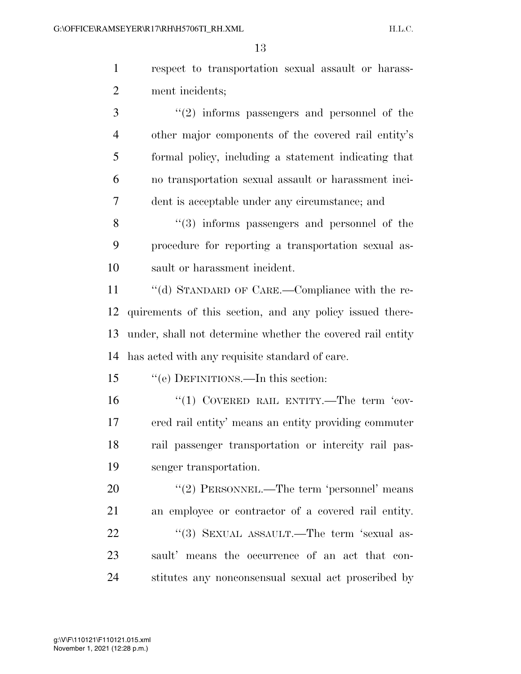|   | respect to transportation sexual assault or harass- |
|---|-----------------------------------------------------|
| 2 | ment incidents;                                     |
|   | $\lq(2)$ informs passengers and personnel of the    |

 other major components of the covered rail entity's formal policy, including a statement indicating that no transportation sexual assault or harassment inci-dent is acceptable under any circumstance; and

8 "(3) informs passengers and personnel of the procedure for reporting a transportation sexual as-sault or harassment incident.

 ''(d) STANDARD OF CARE.—Compliance with the re- quirements of this section, and any policy issued there- under, shall not determine whether the covered rail entity has acted with any requisite standard of care.

''(e) DEFINITIONS.—In this section:

 ''(1) COVERED RAIL ENTITY.—The term 'cov- ered rail entity' means an entity providing commuter rail passenger transportation or intercity rail pas-senger transportation.

20 "(2) PERSONNEL.—The term 'personnel' means an employee or contractor of a covered rail entity. 22 "(3) SEXUAL ASSAULT.—The term 'sexual as- sault' means the occurrence of an act that con-stitutes any nonconsensual sexual act proscribed by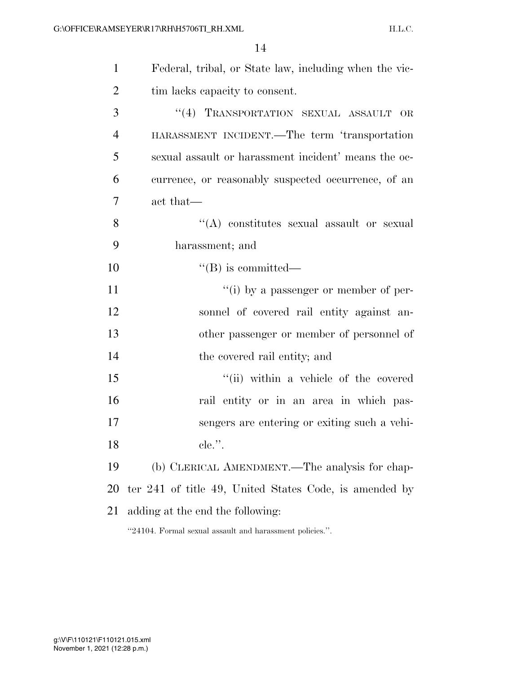| $\mathbf{1}$   | Federal, tribal, or State law, including when the vic-   |
|----------------|----------------------------------------------------------|
| 2              | tim lacks capacity to consent.                           |
| 3              | "(4) TRANSPORTATION SEXUAL ASSAULT OR                    |
| $\overline{4}$ | HARASSMENT INCIDENT.—The term 'transportation            |
| 5              | sexual assault or harassment incident' means the oc-     |
| 6              | currence, or reasonably suspected occurrence, of an      |
| 7              | act that—                                                |
| 8              | "(A) constitutes sexual assault or sexual                |
| 9              | harassment; and                                          |
| 10             | $\lq\lq (B)$ is committed—                               |
| 11             | "(i) by a passenger or member of per-                    |
| 12             | sonnel of covered rail entity against an-                |
| 13             | other passenger or member of personnel of                |
| 14             | the covered rail entity; and                             |
| 15             | "(ii) within a vehicle of the covered                    |
| 16             | rail entity or in an area in which pas-                  |
| 17             | sengers are entering or exiting such a vehi-             |
| 18             | $ele.$ ".                                                |
| 19             | (b) CLERICAL AMENDMENT.—The analysis for chap-           |
| 20             | ter 241 of title 49, United States Code, is amended by   |
| 21             | adding at the end the following:                         |
|                | "24104. Formal sexual assault and harassment policies.". |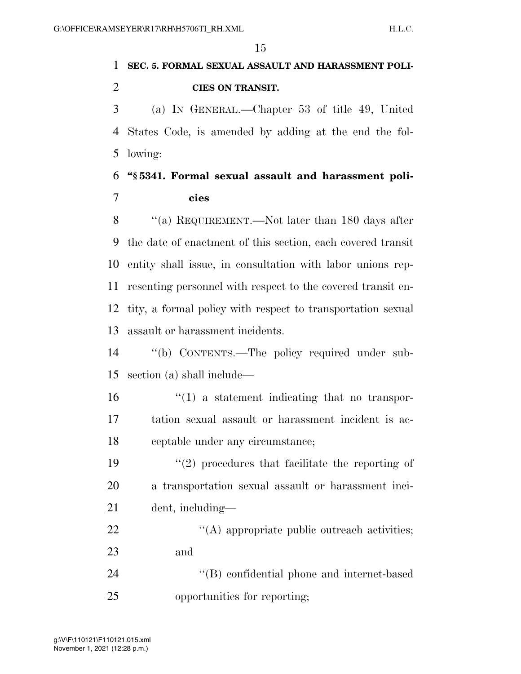## **SEC. 5. FORMAL SEXUAL ASSAULT AND HARASSMENT POLI-CIES ON TRANSIT.**

 (a) IN GENERAL.—Chapter 53 of title 49, United States Code, is amended by adding at the end the fol-lowing:

## **''§ 5341. Formal sexual assault and harassment poli-cies**

8 "(a) REQUIREMENT.—Not later than 180 days after the date of enactment of this section, each covered transit entity shall issue, in consultation with labor unions rep- resenting personnel with respect to the covered transit en- tity, a formal policy with respect to transportation sexual assault or harassment incidents.

 ''(b) CONTENTS.—The policy required under sub-section (a) shall include—

 ''(1) a statement indicating that no transpor- tation sexual assault or harassment incident is ac-ceptable under any circumstance;

19  $\frac{1}{2}$  procedures that facilitate the reporting of a transportation sexual assault or harassment inci-dent, including—

22  $\langle (A) \rangle$  appropriate public outreach activities; and

 ''(B) confidential phone and internet-based opportunities for reporting;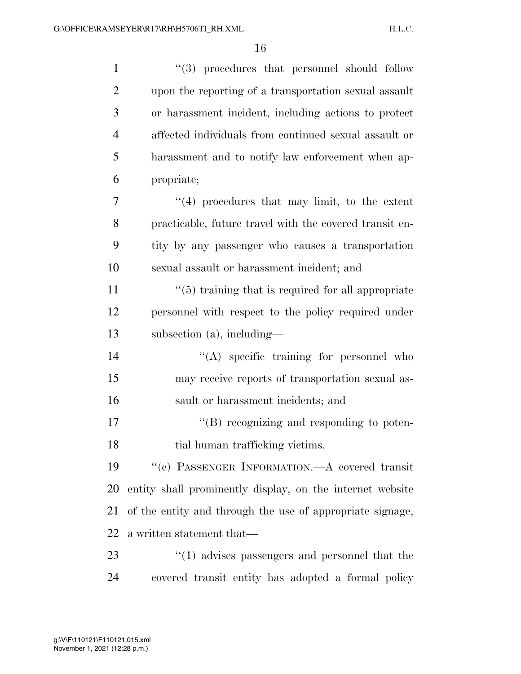| $\mathbf{1}$   | $(3)$ procedures that personnel should follow                  |
|----------------|----------------------------------------------------------------|
| $\overline{2}$ | upon the reporting of a transportation sexual assault          |
| 3              | or harassment incident, including actions to protect           |
| $\overline{4}$ | affected individuals from continued sexual assault or          |
| 5              | harassment and to notify law enforcement when ap-              |
| 6              | propriate;                                                     |
| 7              | $(4)$ procedures that may limit, to the extent                 |
| 8              | practicable, future travel with the covered transit en-        |
| 9              | tity by any passenger who causes a transportation              |
| 10             | sexual assault or harassment incident; and                     |
| 11             | $\cdot\cdot$ (5) training that is required for all appropriate |
| 12             | personnel with respect to the policy required under            |
| 13             | subsection $(a)$ , including—                                  |
| 14             | $\lq\lq$ specific training for personnel who                   |
| 15             | may receive reports of transportation sexual as-               |
| 16             | sault or harassment incidents; and                             |
| 17             | "(B) recognizing and responding to poten-                      |
| 18             | tial human trafficking victims.                                |
| 19             | "(c) PASSENGER INFORMATION.—A covered transit                  |
| 20             | entity shall prominently display, on the internet website      |
| 21             | of the entity and through the use of appropriate signage,      |
| 22             | a written statement that—                                      |
| 23             | $\cdot$ (1) advises passengers and personnel that the          |
| 24             | covered transit entity has adopted a formal policy             |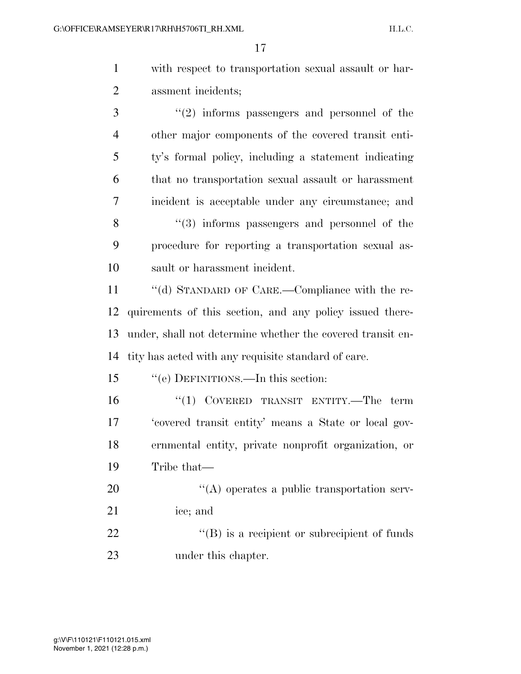| with respect to transportation sexual assault or har- |
|-------------------------------------------------------|
| assment incidents;                                    |

 ''(2) informs passengers and personnel of the other major components of the covered transit enti- ty's formal policy, including a statement indicating that no transportation sexual assault or harassment incident is acceptable under any circumstance; and 8 "(3) informs passengers and personnel of the procedure for reporting a transportation sexual as- sault or harassment incident. ''(d) STANDARD OF CARE.—Compliance with the re-quirements of this section, and any policy issued there-

 under, shall not determine whether the covered transit en-tity has acted with any requisite standard of care.

''(e) DEFINITIONS.—In this section:

 $(1)$  COVERED TRANSIT ENTITY.—The term 'covered transit entity' means a State or local gov- ernmental entity, private nonprofit organization, or Tribe that—

20  $\langle (A)$  operates a public transportation serv- ice; and 22 "(B) is a recipient or subrecipient of funds

under this chapter.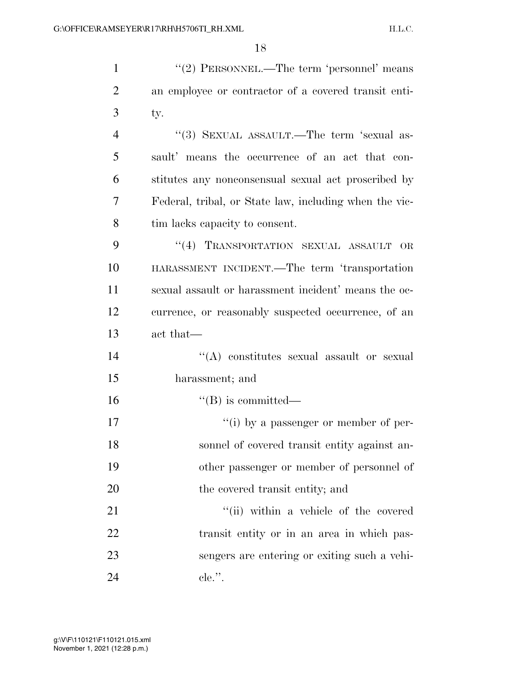1 ''(2) PERSONNEL.—The term 'personnel' means an employee or contractor of a covered transit enti-3 ty. 4 "(3) SEXUAL ASSAULT.—The term 'sexual as- sault' means the occurrence of an act that con- stitutes any nonconsensual sexual act proscribed by Federal, tribal, or State law, including when the vic- tim lacks capacity to consent. 9 "(4) TRANSPORTATION SEXUAL ASSAULT OR HARASSMENT INCIDENT.—The term 'transportation sexual assault or harassment incident' means the oc- currence, or reasonably suspected occurrence, of an act that—  $\langle (A)$  constitutes sexual assault or sexual harassment; and

 $16$  ''(B) is committed—

 $''(i)$  by a passenger or member of per- sonnel of covered transit entity against an- other passenger or member of personnel of 20 the covered transit entity; and

21 ''(ii) within a vehicle of the covered 22 transit entity or in an area in which pas-23 sengers are entering or exiting such a vehi-24 cle.''.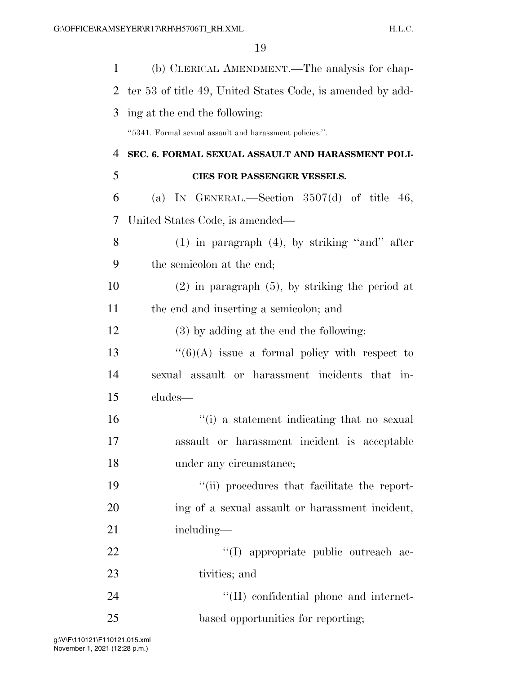| 1              | (b) CLERICAL AMENDMENT.—The analysis for chap-             |
|----------------|------------------------------------------------------------|
| $\overline{2}$ | ter 53 of title 49, United States Code, is amended by add- |
| 3              | ing at the end the following:                              |
|                | "5341. Formal sexual assault and harassment policies.".    |
| 4              | SEC. 6. FORMAL SEXUAL ASSAULT AND HARASSMENT POLI-         |
| 5              | CIES FOR PASSENGER VESSELS.                                |
| 6              | (a) IN GENERAL.—Section $3507(d)$ of title 46,             |
| 7              | United States Code, is amended—                            |
| 8              | $(1)$ in paragraph $(4)$ , by striking "and" after         |
| 9              | the semicolon at the end;                                  |
| 10             | $(2)$ in paragraph $(5)$ , by striking the period at       |
| 11             | the end and inserting a semicolon; and                     |
| 12             | (3) by adding at the end the following:                    |
| 13             | $\lq(6)(A)$ issue a formal policy with respect to          |
| 14             | sexual assault or harassment incidents that in-            |
| 15             | cludes—                                                    |
| 16             | "(i) a statement indicating that no sexual                 |
| 17             | assault or harassment incident is acceptable               |
| 18             | under any circumstance;                                    |
| 19             | "(ii) procedures that facilitate the report-               |
| 20             | ing of a sexual assault or harassment incident,            |
| 21             | including—                                                 |
| 22             | "(I) appropriate public outreach ac-                       |
| 23             | tivities; and                                              |
| 24             | "(II) confidential phone and internet-                     |
| 25             | based opportunities for reporting;                         |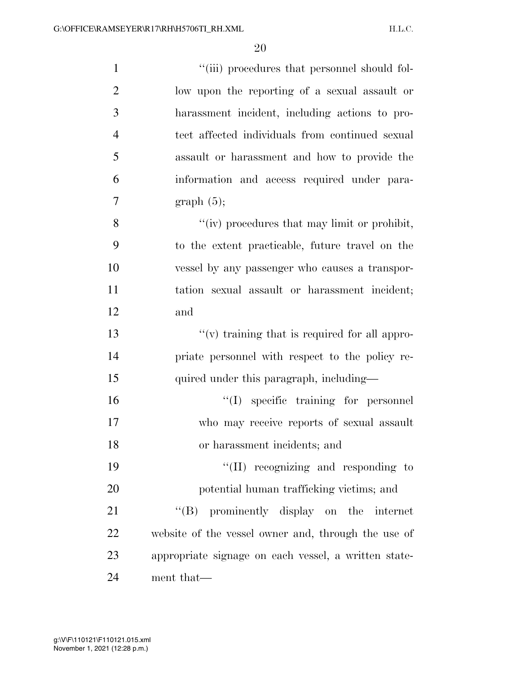| $\mathbf{1}$   | "(iii) procedures that personnel should fol-          |
|----------------|-------------------------------------------------------|
| $\overline{2}$ | low upon the reporting of a sexual assault or         |
| 3              | harassment incident, including actions to pro-        |
| $\overline{4}$ | tect affected individuals from continued sexual       |
| 5              | assault or harassment and how to provide the          |
| 6              | information and access required under para-           |
| 7              | graph(5);                                             |
| 8              | "(iv) procedures that may limit or prohibit,          |
| 9              | to the extent practicable, future travel on the       |
| 10             | vessel by any passenger who causes a transpor-        |
| 11             | tation sexual assault or harassment incident;         |
| 12             | and                                                   |
| 13             | $\lq\lq$ (v) training that is required for all appro- |
| 14             | priate personnel with respect to the policy re-       |
| 15             | quired under this paragraph, including—               |
| 16             | $\lq(1)$ specific training for personnel              |
| 17             | who may receive reports of sexual assault             |
| 18             | or harassment incidents; and                          |
| 19             | $``(II)$ recognizing and responding to                |
| 20             | potential human trafficking victims; and              |
| 21             | "(B) prominently display on the internet              |
| 22             | website of the vessel owner and, through the use of   |
| 23             | appropriate signage on each vessel, a written state-  |
| 24             | ment that—                                            |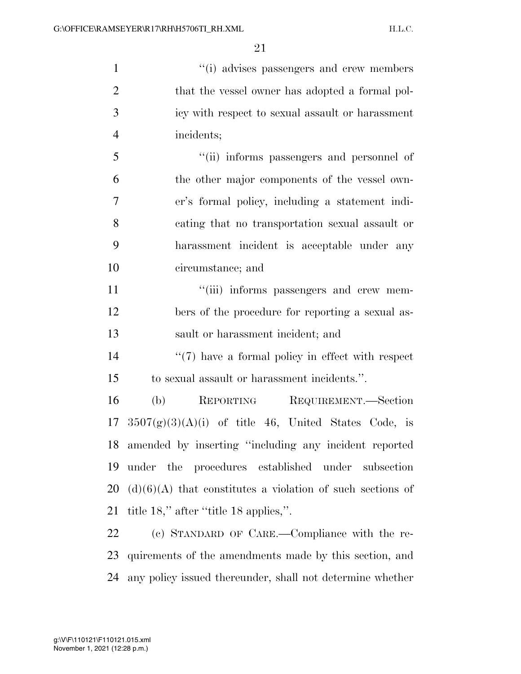$''(i)$  advises passengers and crew members 2 that the vessel owner has adopted a formal pol- icy with respect to sexual assault or harassment incidents; ''(ii) informs passengers and personnel of the other major components of the vessel own- er's formal policy, including a statement indi- cating that no transportation sexual assault or harassment incident is acceptable under any circumstance; and  $\frac{1}{\text{ii}}$  informs passengers and crew mem- bers of the procedure for reporting a sexual as- sault or harassment incident; and  $\frac{1}{2}$  (7) have a formal policy in effect with respect to sexual assault or harassment incidents.''. (b) REPORTING REQUIREMENT.—Section  $3507(g)(3)(A)(i)$  of title 46, United States Code, is amended by inserting ''including any incident reported under the procedures established under subsection 20 (d)(6)(A) that constitutes a violation of such sections of title 18,'' after ''title 18 applies,''. (c) STANDARD OF CARE.—Compliance with the re-

 quirements of the amendments made by this section, and any policy issued thereunder, shall not determine whether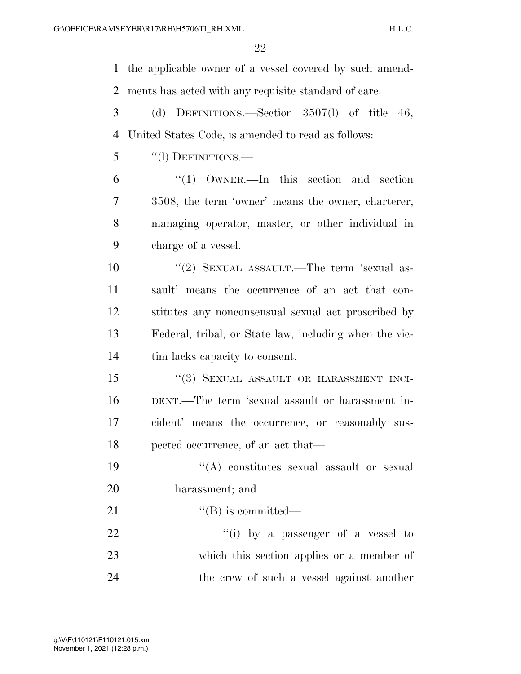the applicable owner of a vessel covered by such amend- ments has acted with any requisite standard of care. (d) DEFINITIONS.—Section 3507(l) of title 46,

United States Code, is amended to read as follows:

''(l) DEFINITIONS.—

 ''(1) OWNER.—In this section and section 3508, the term 'owner' means the owner, charterer, managing operator, master, or other individual in charge of a vessel.

10 ''(2) SEXUAL ASSAULT.—The term 'sexual as- sault' means the occurrence of an act that con- stitutes any nonconsensual sexual act proscribed by Federal, tribal, or State law, including when the vic-tim lacks capacity to consent.

15 "(3) SEXUAL ASSAULT OR HARASSMENT INCI- DENT.—The term 'sexual assault or harassment in- cident' means the occurrence, or reasonably sus-pected occurrence, of an act that—

19  $((A)$  constitutes sexual assault or sexual harassment; and

21  $"$ (B) is committed—

22  $\frac{1}{1}$  by a passenger of a vessel to which this section applies or a member of the crew of such a vessel against another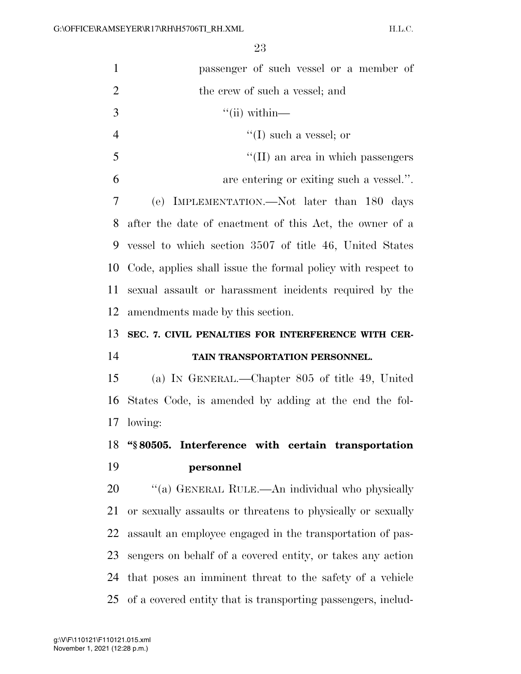| $\mathbf{1}$   | passenger of such vessel or a member of                     |
|----------------|-------------------------------------------------------------|
| $\overline{2}$ | the crew of such a vessel; and                              |
| 3              | $\lq$ <sup>"</sup> (ii) within—                             |
| $\overline{4}$ | $\lq\lq$ (I) such a vessel; or                              |
| 5              | $\lq\lq$ (II) an area in which passengers                   |
| 6              | are entering or exiting such a vessel.".                    |
| 7              | IMPLEMENTATION.—Not later than 180 days<br>(e)              |
| 8              | after the date of enactment of this Act, the owner of a     |
| 9              | vessel to which section 3507 of title 46, United States     |
| 10             | Code, applies shall issue the formal policy with respect to |
| 11             | sexual assault or harassment incidents required by the      |
| 12             | amendments made by this section.                            |
| 13             | SEC. 7. CIVIL PENALTIES FOR INTERFERENCE WITH CER-          |
| 14             | TAIN TRANSPORTATION PERSONNEL.                              |
| 15             | (a) IN GENERAL.—Chapter 805 of title 49, United             |
| 16             |                                                             |
|                | States Code, is amended by adding at the end the fol-       |
| 17             | lowing:                                                     |
| 18             | "§80505. Interference with certain transportation           |
| 19             | personnel                                                   |
| 20             | "(a) GENERAL RULE.—An individual who physically             |
| 21             | or sexually assaults or threatens to physically or sexually |
| 22             | assault an employee engaged in the transportation of pas-   |
| 23             | sengers on behalf of a covered entity, or takes any action  |
| 24             | that poses an imminent threat to the safety of a vehicle    |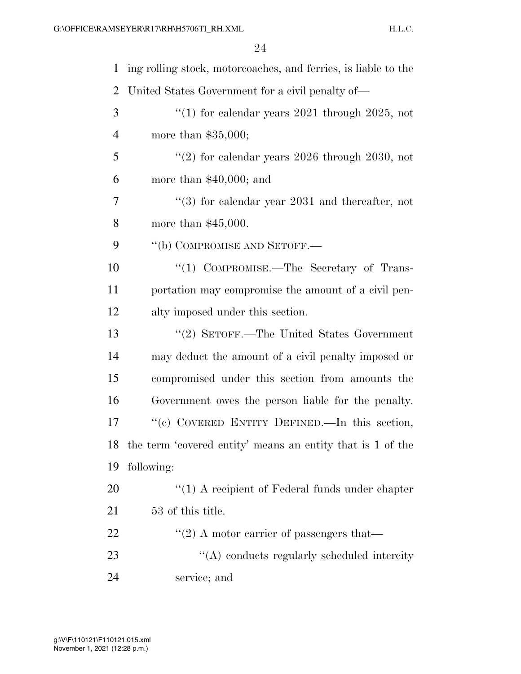| $\mathbf 1$    | ing rolling stock, motorcoaches, and ferries, is liable to the |
|----------------|----------------------------------------------------------------|
| $\overline{2}$ | United States Government for a civil penalty of—               |
| 3              | "(1) for calendar years $2021$ through $2025$ , not            |
| $\overline{4}$ | more than $$35,000;$                                           |
| 5              | "(2) for calendar years $2026$ through $2030$ , not            |
| 6              | more than $$40,000$ ; and                                      |
| 7              | $(3)$ for calendar year 2031 and thereafter, not               |
| 8              | more than $$45,000$ .                                          |
| 9              | "(b) COMPROMISE AND SETOFF.-                                   |
| 10             | "(1) COMPROMISE.—The Secretary of Trans-                       |
| 11             | portation may compromise the amount of a civil pen-            |
| 12             | alty imposed under this section.                               |
| 13             | "(2) SETOFF.—The United States Government                      |
| 14             | may deduct the amount of a civil penalty imposed or            |
| 15             | compromised under this section from amounts the                |
| 16             | Government owes the person liable for the penalty.             |
| 17             | "(c) COVERED ENTITY DEFINED.—In this section,                  |
|                | 18 the term 'covered entity' means an entity that is 1 of the  |
| 19             | following:                                                     |
| 20             | "(1) A recipient of Federal funds under chapter                |
| 21             | 53 of this title.                                              |
| 22             | $\cdot\cdot\cdot(2)$ A motor carrier of passengers that—       |
| 23             | $\lq\lq$ conducts regularly scheduled intercity                |
| 24             | service; and                                                   |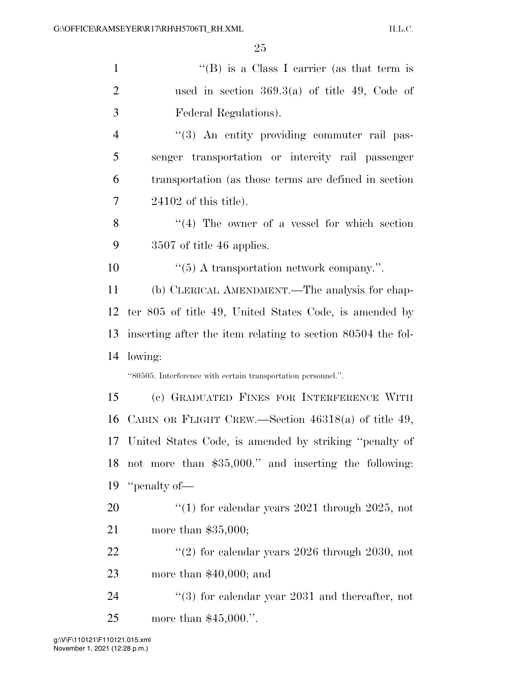| $\mathbf{1}$   | "(B) is a Class I carrier (as that term is                    |
|----------------|---------------------------------------------------------------|
| $\overline{2}$ | used in section $369.3(a)$ of title 49, Code of               |
| 3              | Federal Regulations).                                         |
| $\overline{4}$ | "(3) An entity providing commuter rail pas-                   |
| 5              | senger transportation or intercity rail passenger             |
| 6              | transportation (as those terms are defined in section)        |
| 7              | $24102$ of this title).                                       |
| 8              | $(4)$ The owner of a vessel for which section                 |
| 9              | 3507 of title 46 applies.                                     |
| 10             | $\cdot\cdot$ (5) A transportation network company.".          |
| 11             | (b) CLERICAL AMENDMENT.—The analysis for chap-                |
|                | 12 ter 805 of title 49, United States Code, is amended by     |
| 13             | inserting after the item relating to section 80504 the fol-   |
| 14             | lowing:                                                       |
|                | "80505. Interference with certain transportation personnel.". |
| 15             | (c) GRADUATED FINES FOR INTERFERENCE WITH                     |
| 16             | CABIN OR FLIGHT CREW.—Section $46318(a)$ of title 49,         |
|                |                                                               |
|                | 17 United States Code, is amended by striking "penalty of     |
| 18             | not more than \$35,000." and inserting the following:         |
| 19             | "penalty of—                                                  |
| 20             | "(1) for calendar years $2021$ through $2025$ , not           |
| 21             | more than $$35,000;$                                          |
| <u>22</u>      | "(2) for calendar years $2026$ through $2030$ , not           |
| 23             | more than $$40,000$ ; and                                     |

more than \$45,000.''.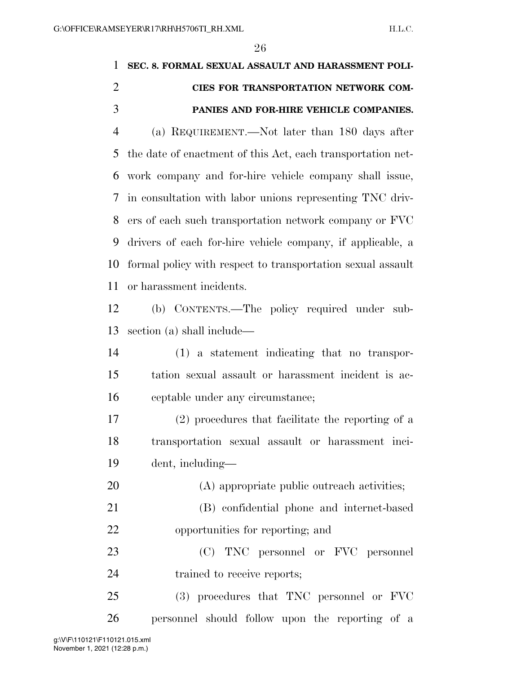## **SEC. 8. FORMAL SEXUAL ASSAULT AND HARASSMENT POLI- CIES FOR TRANSPORTATION NETWORK COM-PANIES AND FOR-HIRE VEHICLE COMPANIES.**

 (a) REQUIREMENT.—Not later than 180 days after the date of enactment of this Act, each transportation net- work company and for-hire vehicle company shall issue, in consultation with labor unions representing TNC driv- ers of each such transportation network company or FVC drivers of each for-hire vehicle company, if applicable, a formal policy with respect to transportation sexual assault or harassment incidents.

 (b) CONTENTS.—The policy required under sub-section (a) shall include—

 (1) a statement indicating that no transpor- tation sexual assault or harassment incident is ac-ceptable under any circumstance;

 (2) procedures that facilitate the reporting of a transportation sexual assault or harassment inci-dent, including—

20 (A) appropriate public outreach activities; (B) confidential phone and internet-based

opportunities for reporting; and

 (C) TNC personnel or FVC personnel trained to receive reports;

 (3) procedures that TNC personnel or FVC personnel should follow upon the reporting of a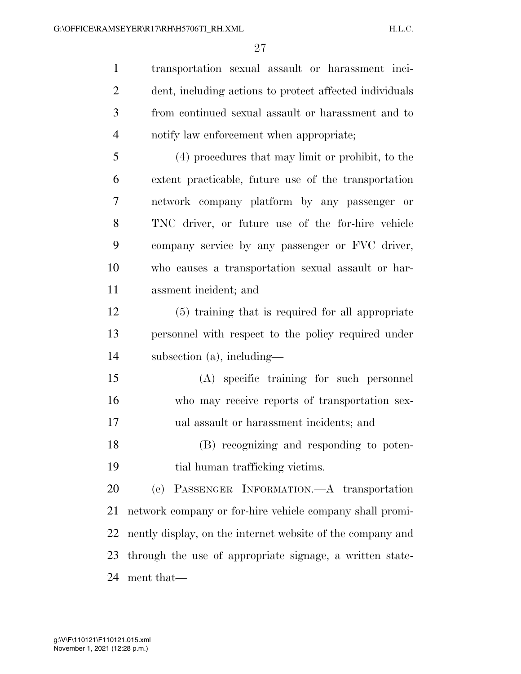transportation sexual assault or harassment inci- dent, including actions to protect affected individuals from continued sexual assault or harassment and to notify law enforcement when appropriate;

 (4) procedures that may limit or prohibit, to the extent practicable, future use of the transportation network company platform by any passenger or TNC driver, or future use of the for-hire vehicle company service by any passenger or FVC driver, who causes a transportation sexual assault or har-assment incident; and

 (5) training that is required for all appropriate personnel with respect to the policy required under subsection (a), including—

 (A) specific training for such personnel who may receive reports of transportation sex-ual assault or harassment incidents; and

 (B) recognizing and responding to poten-tial human trafficking victims.

 (c) PASSENGER INFORMATION.—A transportation network company or for-hire vehicle company shall promi- nently display, on the internet website of the company and through the use of appropriate signage, a written state-ment that—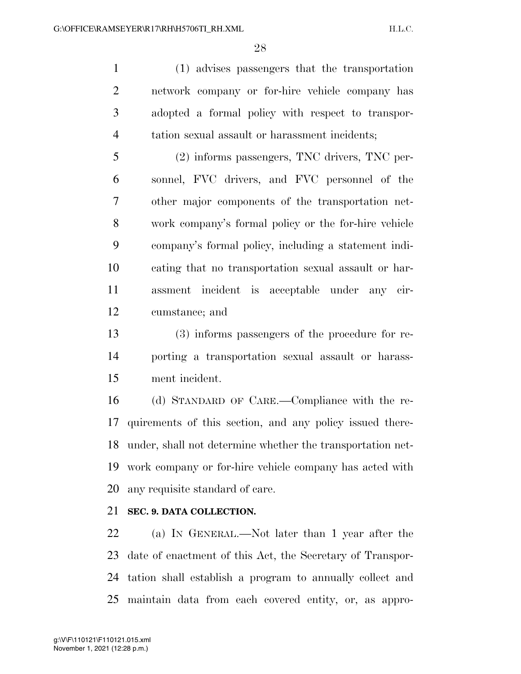(1) advises passengers that the transportation network company or for-hire vehicle company has adopted a formal policy with respect to transpor-tation sexual assault or harassment incidents;

 (2) informs passengers, TNC drivers, TNC per- sonnel, FVC drivers, and FVC personnel of the other major components of the transportation net- work company's formal policy or the for-hire vehicle company's formal policy, including a statement indi- cating that no transportation sexual assault or har- assment incident is acceptable under any cir-cumstance; and

 (3) informs passengers of the procedure for re- porting a transportation sexual assault or harass-ment incident.

 (d) STANDARD OF CARE.—Compliance with the re- quirements of this section, and any policy issued there- under, shall not determine whether the transportation net- work company or for-hire vehicle company has acted with any requisite standard of care.

### **SEC. 9. DATA COLLECTION.**

 (a) IN GENERAL.—Not later than 1 year after the date of enactment of this Act, the Secretary of Transpor- tation shall establish a program to annually collect and maintain data from each covered entity, or, as appro-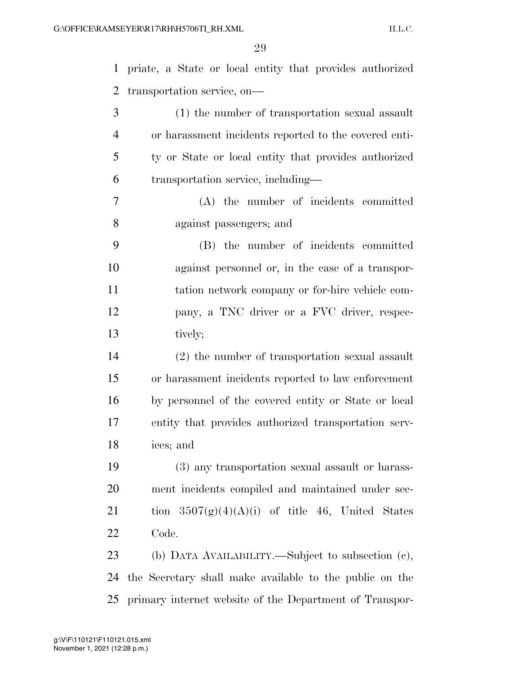priate, a State or local entity that provides authorized transportation service, on— (1) the number of transportation sexual assault or harassment incidents reported to the covered enti- ty or State or local entity that provides authorized transportation service, including— (A) the number of incidents committed against passengers; and (B) the number of incidents committed against personnel or, in the case of a transpor- tation network company or for-hire vehicle com- pany, a TNC driver or a FVC driver, respec- tively; (2) the number of transportation sexual assault or harassment incidents reported to law enforcement by personnel of the covered entity or State or local entity that provides authorized transportation serv- ices; and (3) any transportation sexual assault or harass- ment incidents compiled and maintained under sec-21 tion  $3507(g)(4)(A)(i)$  of title 46, United States Code. (b) DATA AVAILABILITY.—Subject to subsection (c), the Secretary shall make available to the public on the

primary internet website of the Department of Transpor-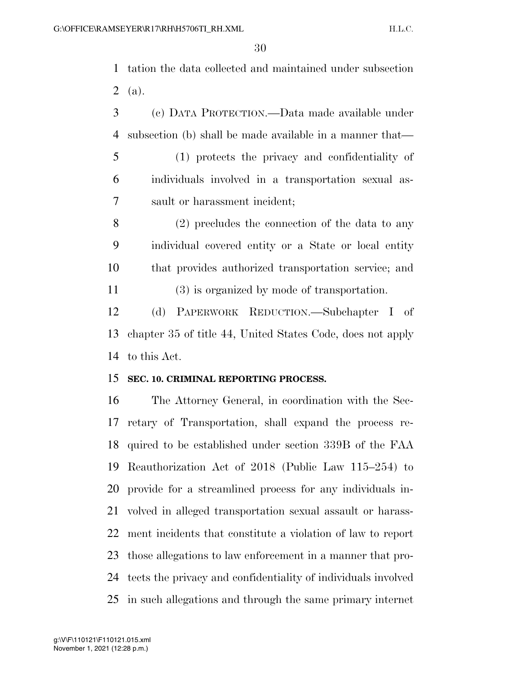tation the data collected and maintained under subsection  $2 \text{ (a)}$ .

 (c) DATA PROTECTION.—Data made available under subsection (b) shall be made available in a manner that—

 (1) protects the privacy and confidentiality of individuals involved in a transportation sexual as-sault or harassment incident;

 (2) precludes the connection of the data to any individual covered entity or a State or local entity that provides authorized transportation service; and (3) is organized by mode of transportation.

 (d) PAPERWORK REDUCTION.—Subchapter I of chapter 35 of title 44, United States Code, does not apply to this Act.

### **SEC. 10. CRIMINAL REPORTING PROCESS.**

 The Attorney General, in coordination with the Sec- retary of Transportation, shall expand the process re- quired to be established under section 339B of the FAA Reauthorization Act of 2018 (Public Law 115–254) to provide for a streamlined process for any individuals in- volved in alleged transportation sexual assault or harass- ment incidents that constitute a violation of law to report those allegations to law enforcement in a manner that pro- tects the privacy and confidentiality of individuals involved in such allegations and through the same primary internet

November 1, 2021 (12:28 p.m.) g:\V\F\110121\F110121.015.xml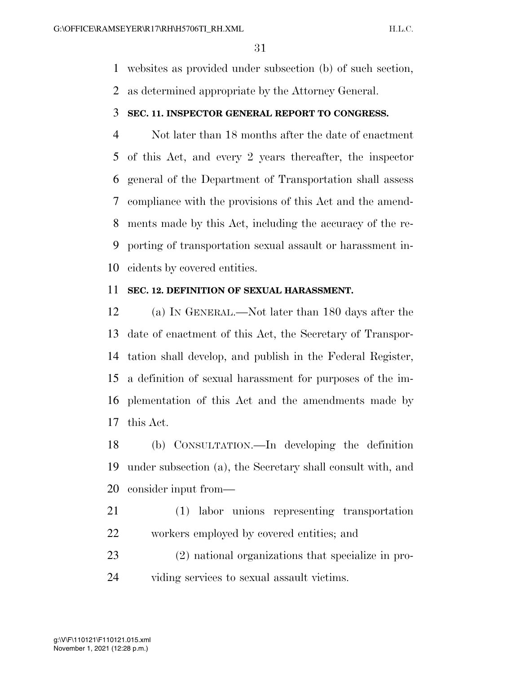websites as provided under subsection (b) of such section,

as determined appropriate by the Attorney General.

### **SEC. 11. INSPECTOR GENERAL REPORT TO CONGRESS.**

 Not later than 18 months after the date of enactment of this Act, and every 2 years thereafter, the inspector general of the Department of Transportation shall assess compliance with the provisions of this Act and the amend- ments made by this Act, including the accuracy of the re- porting of transportation sexual assault or harassment in-cidents by covered entities.

### **SEC. 12. DEFINITION OF SEXUAL HARASSMENT.**

 (a) IN GENERAL.—Not later than 180 days after the date of enactment of this Act, the Secretary of Transpor- tation shall develop, and publish in the Federal Register, a definition of sexual harassment for purposes of the im- plementation of this Act and the amendments made by this Act.

 (b) CONSULTATION.—In developing the definition under subsection (a), the Secretary shall consult with, and consider input from—

- (1) labor unions representing transportation workers employed by covered entities; and
- (2) national organizations that specialize in pro-viding services to sexual assault victims.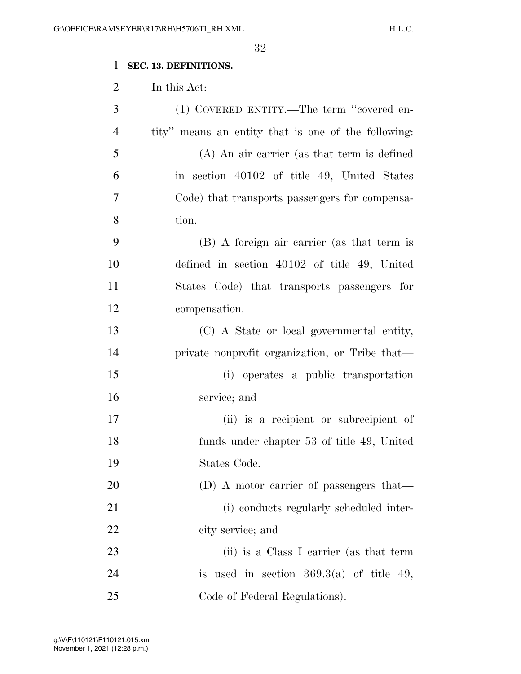### **SEC. 13. DEFINITIONS.**

In this Act:

| 3              | (1) COVERED ENTITY.—The term "covered en-           |
|----------------|-----------------------------------------------------|
| $\overline{4}$ | tity" means an entity that is one of the following: |
| 5              | $(A)$ An air carrier (as that term is defined       |
| 6              | in section 40102 of title 49, United States         |
| 7              | Code) that transports passengers for compensa-      |
| 8              | tion.                                               |
| 9              | (B) A foreign air carrier (as that term is          |
| 10             | defined in section $40102$ of title 49, United      |
| 11             | States Code) that transports passengers for         |
| 12             | compensation.                                       |
| 13             | (C) A State or local governmental entity,           |
| 14             | private nonprofit organization, or Tribe that-      |
| 15             | (i) operates a public transportation                |
| 16             | service; and                                        |
| 17             | (ii) is a recipient or subrecipient of              |
| 18             | funds under chapter 53 of title 49, United          |
| 19             | States Code.                                        |
| 20             | (D) A motor carrier of passengers that—             |
| 21             | (i) conducts regularly scheduled inter-             |
| 22             | city service; and                                   |
| 23             | (ii) is a Class I carrier (as that term             |
| 24             | is used in section $369.3(a)$ of title 49,          |
| 25             | Code of Federal Regulations).                       |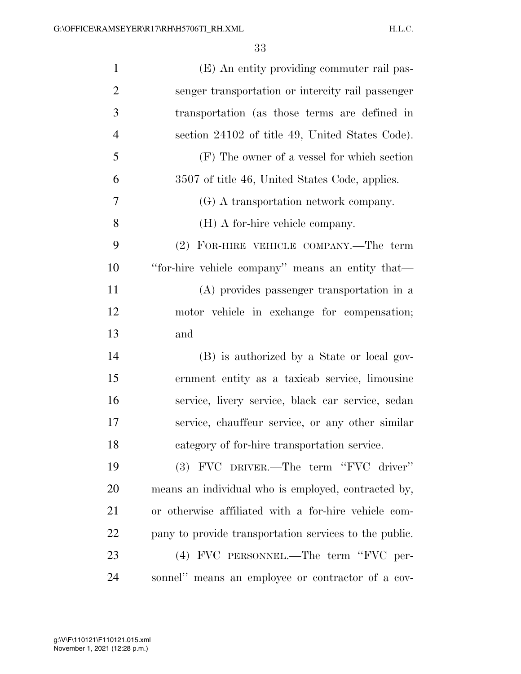| $\mathbf{1}$   | (E) An entity providing commuter rail pas-             |
|----------------|--------------------------------------------------------|
| $\overline{2}$ | senger transportation or intercity rail passenger      |
| 3              | transportation (as those terms are defined in          |
| $\overline{4}$ | section 24102 of title 49, United States Code).        |
| 5              | $(F)$ The owner of a vessel for which section          |
| 6              | 3507 of title 46, United States Code, applies.         |
| 7              | (G) A transportation network company.                  |
| 8              | (H) A for-hire vehicle company.                        |
| 9              | (2) FOR-HIRE VEHICLE COMPANY.—The term                 |
| 10             | "for-hire vehicle company" means an entity that—       |
| 11             | (A) provides passenger transportation in a             |
| 12             | motor vehicle in exchange for compensation;            |
| 13             | and                                                    |
| 14             | (B) is authorized by a State or local gov-             |
| 15             | ernment entity as a taxicab service, limousine         |
| 16             | service, livery service, black car service, sedan      |
| 17             | service, chauffeur service, or any other similar       |
| 18             | category of for-hire transportation service.           |
| 19             | (3) FVC DRIVER.—The term "FVC driver"                  |
| 20             | means an individual who is employed, contracted by,    |
| 21             | or otherwise affiliated with a for-hire vehicle com-   |
| 22             | pany to provide transportation services to the public. |
| 23             | (4) FVC PERSONNEL.—The term "FVC per-                  |
| 24             | sonnel" means an employee or contractor of a cov-      |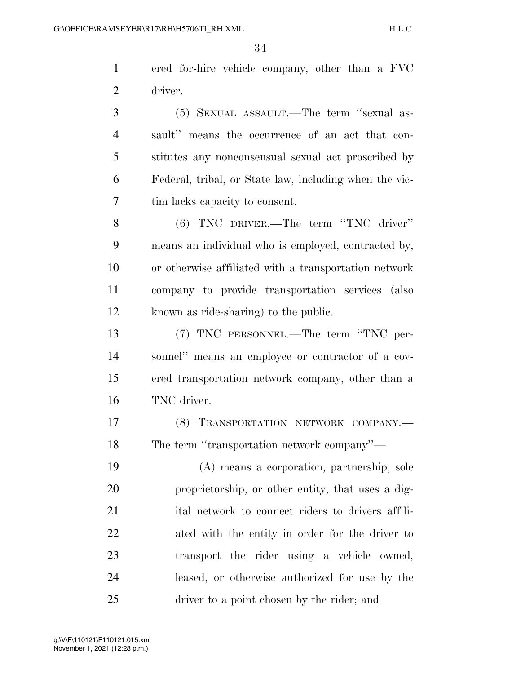ered for-hire vehicle company, other than a FVC driver.

 (5) SEXUAL ASSAULT.—The term ''sexual as- sault'' means the occurrence of an act that con- stitutes any nonconsensual sexual act proscribed by Federal, tribal, or State law, including when the vic-tim lacks capacity to consent.

 (6) TNC DRIVER.—The term ''TNC driver'' means an individual who is employed, contracted by, or otherwise affiliated with a transportation network company to provide transportation services (also known as ride-sharing) to the public.

 (7) TNC PERSONNEL.—The term ''TNC per- sonnel'' means an employee or contractor of a cov- ered transportation network company, other than a TNC driver.

 (8) TRANSPORTATION NETWORK COMPANY.— The term ''transportation network company''—

 (A) means a corporation, partnership, sole proprietorship, or other entity, that uses a dig-21 ital network to connect riders to drivers affili- ated with the entity in order for the driver to transport the rider using a vehicle owned, leased, or otherwise authorized for use by the driver to a point chosen by the rider; and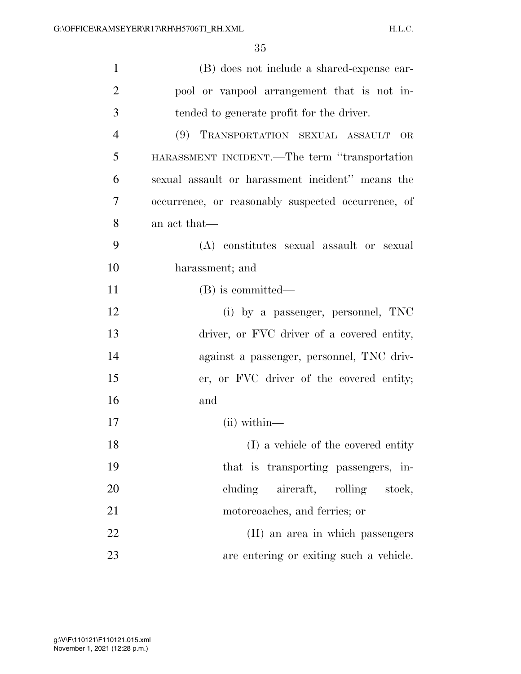| $\mathbf{1}$   | (B) does not include a shared-expense car-         |
|----------------|----------------------------------------------------|
| $\overline{2}$ | pool or vanpool arrangement that is not in-        |
| 3              | tended to generate profit for the driver.          |
| $\overline{4}$ | (9) TRANSPORTATION SEXUAL ASSAULT<br>OR            |
| 5              | HARASSMENT INCIDENT.—The term "transportation      |
| 6              | sexual assault or harassment incident" means the   |
| 7              | occurrence, or reasonably suspected occurrence, of |
| 8              | an act that—                                       |
| 9              | (A) constitutes sexual assault or sexual           |
| 10             | harassment; and                                    |
| 11             | (B) is committed—                                  |
| 12             | (i) by a passenger, personnel, TNC                 |
| 13             | driver, or FVC driver of a covered entity,         |
| 14             | against a passenger, personnel, TNC driv-          |
| 15             | er, or FVC driver of the covered entity;           |
| 16             | and                                                |
| 17             | $(ii)$ within—                                     |
| 18             | (I) a vehicle of the covered entity                |
| 19             | that is transporting passengers, in-               |
| 20             | cluding aircraft, rolling stock,                   |
| 21             | motorcoaches, and ferries; or                      |
| 22             | (II) an area in which passengers                   |
| 23             | are entering or exiting such a vehicle.            |